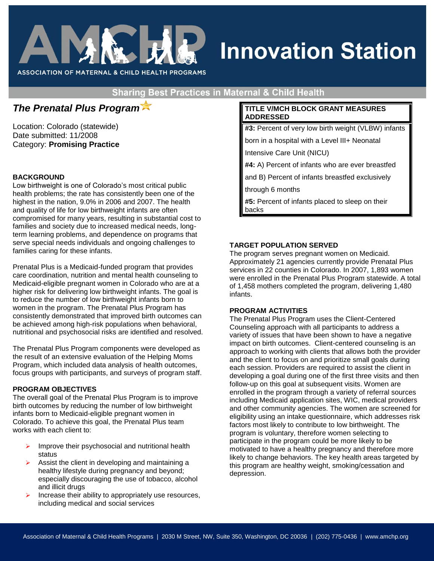

# **Innovation Station**

**ASSOCIATION OF MATERNAL & CHILD HEALTH PROGRAMS** 

**Sharing Best Practices in Maternal & Child Health** 

# *The Prenatal Plus Program*

Location: Colorado (statewide) Date submitted: 11/2008 Category: **Promising Practice**

# **BACKGROUND**

Low birthweight is one of Colorado's most critical public health problems; the rate has consistently been one of the highest in the nation, 9.0% in 2006 and 2007. The health and quality of life for low birthweight infants are often compromised for many years, resulting in substantial cost to families and society due to increased medical needs, longterm learning problems, and dependence on programs that serve special needs individuals and ongoing challenges to families caring for these infants.

Prenatal Plus is a Medicaid-funded program that provides care coordination, nutrition and mental health counseling to Medicaid-eligible pregnant women in Colorado who are at a higher risk for delivering low birthweight infants. The goal is to reduce the number of low birthweight infants born to women in the program. The Prenatal Plus Program has consistently demonstrated that improved birth outcomes can be achieved among high-risk populations when behavioral, nutritional and psychosocial risks are identified and resolved.

The Prenatal Plus Program components were developed as the result of an extensive evaluation of the Helping Moms Program, which included data analysis of health outcomes, focus groups with participants, and surveys of program staff.

# **PROGRAM OBJECTIVES**

The overall goal of the Prenatal Plus Program is to improve birth outcomes by reducing the number of low birthweight infants born to Medicaid-eligible pregnant women in Colorado. To achieve this goal, the Prenatal Plus team works with each client to:

- Improve their psychosocial and nutritional health status
- $\triangleright$  Assist the client in developing and maintaining a healthy lifestyle during pregnancy and beyond; especially discouraging the use of tobacco, alcohol and illicit drugs
- Increase their ability to appropriately use resources, including medical and social services

# **TITLE V/MCH BLOCK GRANT MEASURES ADDRESSED**

**#3:** Percent of very low birth weight (VLBW) infants

born in a hospital with a Level III+ Neonatal

Intensive Care Unit (NICU)

**#4:** A) Percent of infants who are ever breastfed

and B) Percent of infants breastfed exclusively

through 6 months

**#5:** Percent of infants placed to sleep on their backs

#### **TARGET POPULATION SERVED**

The program serves pregnant women on Medicaid. Approximately 21 agencies currently provide Prenatal Plus services in 22 counties in Colorado. In 2007, 1,893 women were enrolled in the Prenatal Plus Program statewide. A total of 1,458 mothers completed the program, delivering 1,480 infants.

#### **PROGRAM ACTIVITIES**

The Prenatal Plus Program uses the Client-Centered Counseling approach with all participants to address a variety of issues that have been shown to have a negative impact on birth outcomes. Client-centered counseling is an approach to working with clients that allows both the provider and the client to focus on and prioritize small goals during each session. Providers are required to assist the client in developing a goal during one of the first three visits and then follow-up on this goal at subsequent visits. Women are enrolled in the program through a variety of referral sources including Medicaid application sites, WIC, medical providers and other community agencies. The women are screened for eligibility using an intake questionnaire, which addresses risk factors most likely to contribute to low birthweight. The program is voluntary, therefore women selecting to participate in the program could be more likely to be motivated to have a healthy pregnancy and therefore more likely to change behaviors. The key health areas targeted by this program are healthy weight, smoking/cessation and depression.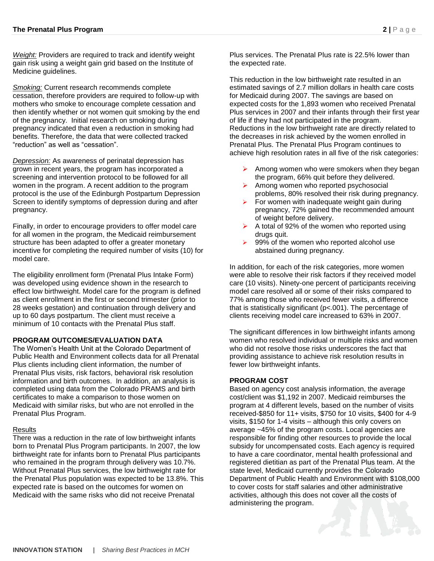*Weight:* Providers are required to track and identify weight gain risk using a weight gain grid based on the Institute of Medicine guidelines.

*Smoking:* Current research recommends complete cessation, therefore providers are required to follow-up with mothers who smoke to encourage complete cessation and then identify whether or not women quit smoking by the end of the pregnancy. Initial research on smoking during pregnancy indicated that even a reduction in smoking had benefits. Therefore, the data that were collected tracked "reduction" as well as "cessation".

*Depression:* As awareness of perinatal depression has grown in recent years, the program has incorporated a screening and intervention protocol to be followed for all women in the program. A recent addition to the program protocol is the use of the Edinburgh Postpartum Depression Screen to identify symptoms of depression during and after pregnancy.

Finally, in order to encourage providers to offer model care for all women in the program, the Medicaid reimbursement structure has been adapted to offer a greater monetary incentive for completing the required number of visits (10) for model care.

The eligibility enrollment form (Prenatal Plus Intake Form) was developed using evidence shown in the research to effect low birthweight. Model care for the program is defined as client enrollment in the first or second trimester (prior to 28 weeks gestation) and continuation through delivery and up to 60 days postpartum. The client must receive a minimum of 10 contacts with the Prenatal Plus staff.

#### **PROGRAM OUTCOMES/EVALUATION DATA**

The Women's Health Unit at the Colorado Department of Public Health and Environment collects data for all Prenatal Plus clients including client information, the number of Prenatal Plus visits, risk factors, behavioral risk resolution information and birth outcomes. In addition, an analysis is completed using data from the Colorado PRAMS and birth certificates to make a comparison to those women on Medicaid with similar risks, but who are not enrolled in the Prenatal Plus Program.

#### Results

There was a reduction in the rate of low birthweight infants born to Prenatal Plus Program participants. In 2007, the low birthweight rate for infants born to Prenatal Plus participants who remained in the program through delivery was 10.7%. Without Prenatal Plus services, the low birthweight rate for the Prenatal Plus population was expected to be 13.8%. This expected rate is based on the outcomes for women on Medicaid with the same risks who did not receive Prenatal

Plus services. The Prenatal Plus rate is 22.5% lower than the expected rate.

This reduction in the low birthweight rate resulted in an estimated savings of 2.7 million dollars in health care costs for Medicaid during 2007. The savings are based on expected costs for the 1,893 women who received Prenatal Plus services in 2007 and their infants through their first year of life if they had not participated in the program. Reductions in the low birthweight rate are directly related to the decreases in risk achieved by the women enrolled in Prenatal Plus. The Prenatal Plus Program continues to achieve high resolution rates in all five of the risk categories:

- $\triangleright$  Among women who were smokers when they began the program, 66% quit before they delivered.
- $\triangleright$  Among women who reported psychosocial problems, 80% resolved their risk during pregnancy.
- For women with inadequate weight gain during pregnancy, 72% gained the recommended amount of weight before delivery.
- $\triangleright$  A total of 92% of the women who reported using drugs quit.
- $\triangleright$  99% of the women who reported alcohol use abstained during pregnancy.

In addition, for each of the risk categories, more women were able to resolve their risk factors if they received model care (10 visits). Ninety-one percent of participants receiving model care resolved all or some of their risks compared to 77% among those who received fewer visits, a difference that is statistically significant (p<.001). The percentage of clients receiving model care increased to 63% in 2007.

The significant differences in low birthweight infants among women who resolved individual or multiple risks and women who did not resolve those risks underscores the fact that providing assistance to achieve risk resolution results in fewer low birthweight infants.

#### **PROGRAM COST**

Based on agency cost analysis information, the average cost/client was \$1,192 in 2007. Medicaid reimburses the program at 4 different levels, based on the number of visits received-\$850 for 11+ visits, \$750 for 10 visits, \$400 for 4-9 visits, \$150 for 1-4 visits – although this only covers on average ~45% of the program costs. Local agencies are responsible for finding other resources to provide the local subsidy for uncompensated costs. Each agency is required to have a care coordinator, mental health professional and registered dietitian as part of the Prenatal Plus team. At the state level, Medicaid currently provides the Colorado Department of Public Health and Environment with \$108,000 to cover costs for staff salaries and other administrative activities, although this does not cover all the costs of administering the program.